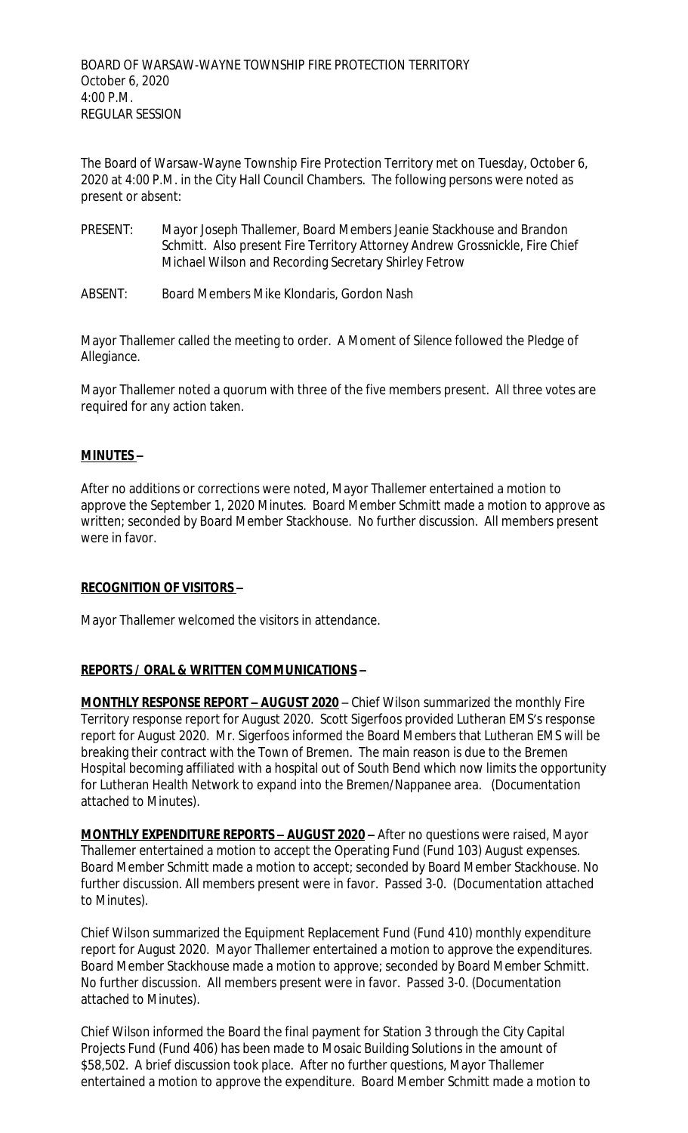The Board of Warsaw-Wayne Township Fire Protection Territory met on Tuesday, October 6, 2020 at 4:00 P.M. in the City Hall Council Chambers. The following persons were noted as present or absent:

- PRESENT: Mayor Joseph Thallemer, Board Members Jeanie Stackhouse and Brandon Schmitt. Also present Fire Territory Attorney Andrew Grossnickle, Fire Chief Michael Wilson and Recording Secretary Shirley Fetrow
- ABSENT: Board Members Mike Klondaris, Gordon Nash

Mayor Thallemer called the meeting to order. A Moment of Silence followed the Pledge of Allegiance.

Mayor Thallemer noted a quorum with three of the five members present. All three votes are required for any action taken.

## **MINUTES –**

After no additions or corrections were noted, Mayor Thallemer entertained a motion to approve the September 1, 2020 Minutes. Board Member Schmitt made a motion to approve as written; seconded by Board Member Stackhouse. No further discussion. All members present were in favor.

## **RECOGNITION OF VISITORS –**

Mayor Thallemer welcomed the visitors in attendance.

## **REPORTS / ORAL & WRITTEN COMMUNICATIONS –**

**MONTHLY RESPONSE REPORT - AUGUST 2020** - Chief Wilson summarized the monthly Fire Territory response report for August 2020. Scott Sigerfoos provided Lutheran EMS's response report for August 2020. Mr. Sigerfoos informed the Board Members that Lutheran EMS will be breaking their contract with the Town of Bremen. The main reason is due to the Bremen Hospital becoming affiliated with a hospital out of South Bend which now limits the opportunity for Lutheran Health Network to expand into the Bremen/Nappanee area. (Documentation attached to Minutes).

**MONTHLY EXPENDITURE REPORTS – AUGUST 2020 –** After no questions were raised, Mayor Thallemer entertained a motion to accept the Operating Fund (Fund 103) August expenses. Board Member Schmitt made a motion to accept; seconded by Board Member Stackhouse. No further discussion. All members present were in favor. Passed 3-0. (Documentation attached to Minutes).

Chief Wilson summarized the Equipment Replacement Fund (Fund 410) monthly expenditure report for August 2020. Mayor Thallemer entertained a motion to approve the expenditures. Board Member Stackhouse made a motion to approve; seconded by Board Member Schmitt. No further discussion. All members present were in favor. Passed 3-0. (Documentation attached to Minutes).

Chief Wilson informed the Board the final payment for Station 3 through the City Capital Projects Fund (Fund 406) has been made to Mosaic Building Solutions in the amount of \$58,502. A brief discussion took place. After no further questions, Mayor Thallemer entertained a motion to approve the expenditure. Board Member Schmitt made a motion to